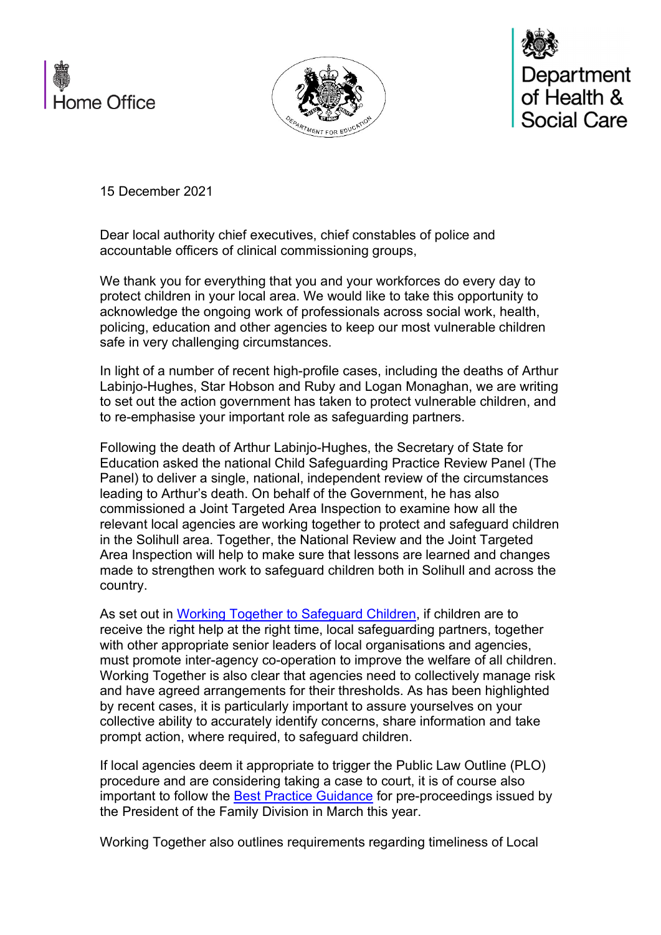





15 December 2021

Dear local authority chief executives, chief constables of police and accountable officers of clinical commissioning groups,

We thank you for everything that you and your workforces do every day to protect children in your local area. We would like to take this opportunity to acknowledge the ongoing work of professionals across social work, health, policing, education and other agencies to keep our most vulnerable children safe in very challenging circumstances.

In light of a number of recent high-profile cases, including the deaths of Arthur Labinjo-Hughes, Star Hobson and Ruby and Logan Monaghan, we are writing to set out the action government has taken to protect vulnerable children, and to re-emphasise your important role as safeguarding partners.

Following the death of Arthur Labinjo-Hughes, the Secretary of State for Education asked the national Child Safeguarding Practice Review Panel (The Panel) to deliver a single, national, independent review of the circumstances leading to Arthur's death. On behalf of the Government, he has also commissioned a Joint Targeted Area Inspection to examine how all the relevant local agencies are working together to protect and safeguard children in the Solihull area. Together, the National Review and the Joint Targeted Area Inspection will help to make sure that lessons are learned and changes made to strengthen work to safeguard children both in Solihull and across the country.

As set out in Working Together to Safeguard Children, if children are to receive the right help at the right time, local safeguarding partners, together with other appropriate senior leaders of local organisations and agencies, must promote inter-agency co-operation to improve the welfare of all children. Working Together is also clear that agencies need to collectively manage risk and have agreed arrangements for their thresholds. As has been highlighted by recent cases, it is particularly important to assure yourselves on your collective ability to accurately identify concerns, share information and take prompt action, where required, to safeguard children.

If local agencies deem it appropriate to trigger the Public Law Outline (PLO) procedure and are considering taking a case to court, it is of course also important to follow the Best Practice Guidance for pre-proceedings issued by the President of the Family Division in March this year.

Working Together also outlines requirements regarding timeliness of Local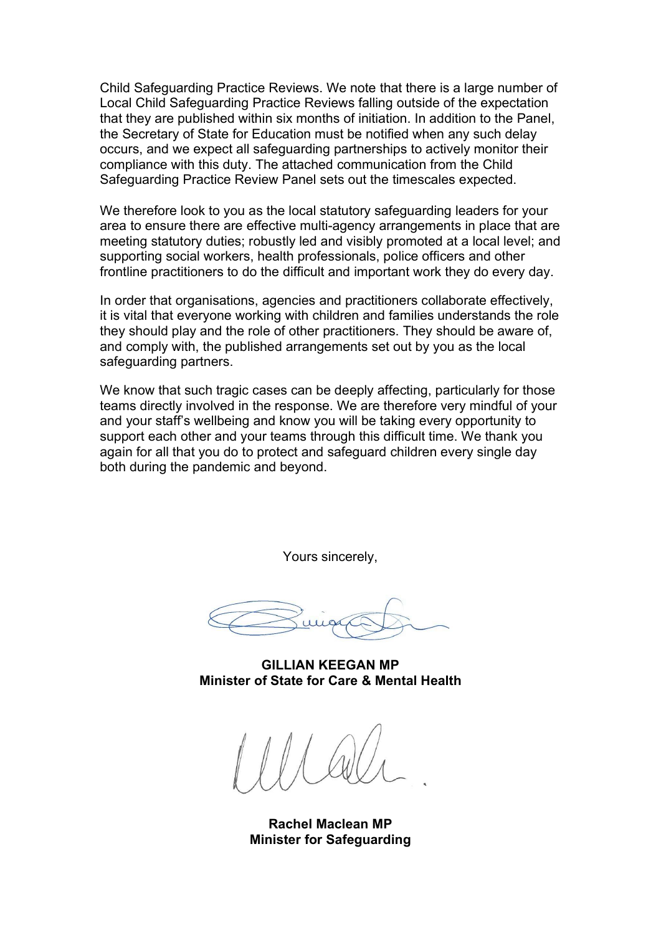Child Safeguarding Practice Reviews. We note that there is a large number of Local Child Safeguarding Practice Reviews falling outside of the expectation that they are published within six months of initiation. In addition to the Panel, the Secretary of State for Education must be notified when any such delay occurs, and we expect all safeguarding partnerships to actively monitor their compliance with this duty. The attached communication from the Child Safeguarding Practice Review Panel sets out the timescales expected.

We therefore look to you as the local statutory safeguarding leaders for your area to ensure there are effective multi-agency arrangements in place that are meeting statutory duties; robustly led and visibly promoted at a local level; and supporting social workers, health professionals, police officers and other frontline practitioners to do the difficult and important work they do every day.

In order that organisations, agencies and practitioners collaborate effectively, it is vital that everyone working with children and families understands the role they should play and the role of other practitioners. They should be aware of, and comply with, the published arrangements set out by you as the local safeguarding partners.

We know that such tragic cases can be deeply affecting, particularly for those teams directly involved in the response. We are therefore very mindful of your and your staff's wellbeing and know you will be taking every opportunity to support each other and your teams through this difficult time. We thank you again for all that you do to protect and safeguard children every single day both during the pandemic and beyond.

Yours sincerely,

GILLIAN KEEGAN MP Minister of State for Care & Mental Health

Rachel Maclean MP Minister for Safeguarding